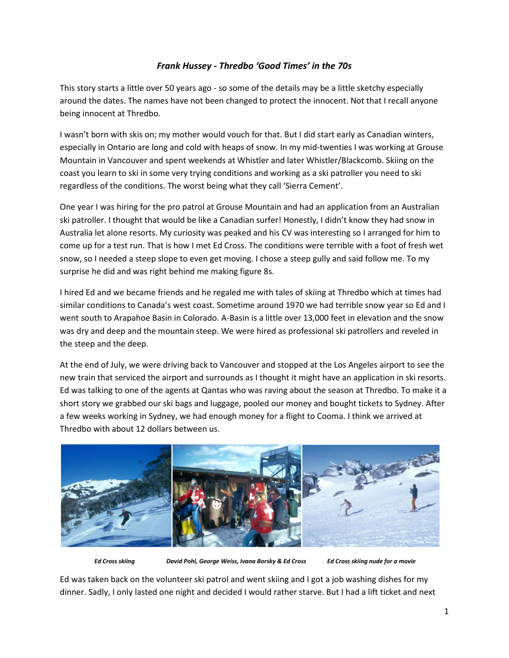## *Frank Hussey - Thredbo 'Good Times' in the 70s*

This story starts a little over 50 years ago - so some of the details may be a little sketchy especially around the dates. The names have not been changed to protect the innocent. Not that I recall anyone being innocent at Thredbo.

I wasn't born with skis on; my mother would vouch for that. But I did start early as Canadian winters, especially in Ontario are long and cold with heaps of snow. In my mid-twenties I was working at Grouse Mountain in Vancouver and spent weekends at Whistler and later Whistler/Blackcomb. Skiing on the coast you learn to ski in some very trying conditions and working as a ski patroller you need to ski regardless of the conditions. The worst being what they call 'Sierra Cement'.

One year I was hiring for the pro patrol at Grouse Mountain and had an application from an Australian ski patroller. I thought that would be like a Canadian surfer! Honestly, I didn't know they had snow in Australia let alone resorts. My curiosity was peaked and his CV was interesting so I arranged for him to come up for a test run. That is how I met Ed Cross. The conditions were terrible with a foot of fresh wet snow, so I needed a steep slope to even get moving. I chose a steep gully and said follow me. To my surprise he did and was right behind me making figure 8s.

I hired Ed and we became friends and he regaled me with tales of skiing at Thredbo which at times had similar conditions to Canada's west coast. Sometime around 1970 we had terrible snow year so Ed and I went south to Arapahoe Basin in Colorado. A-Basin is a little over 13,000 feet in elevation and the snow was dry and deep and the mountain steep. We were hired as professional ski patrollers and reveled in the steep and the deep.

At the end of July, we were driving back to Vancouver and stopped at the Los Angeles airport to see the new train that serviced the airport and surrounds as I thought it might have an application in ski resorts. Ed was talking to one of the agents at Qantas who was raving about the season at Thredbo. To make it a short story we grabbed our ski bags and luggage, pooled our money and bought tickets to Sydney. After a few weeks working in Sydney, we had enough money for a flight to Cooma. I think we arrived at Thredbo with about 12 dollars between us.



 *Ed Cross skiing David Pohl, George Weiss, Ivana Borsky & Ed Cross Ed Cross skiing nude for a movie*

Ed was taken back on the volunteer ski patrol and went skiing and I got a job washing dishes for my dinner. Sadly, I only lasted one night and decided I would rather starve. But I had a lift ticket and next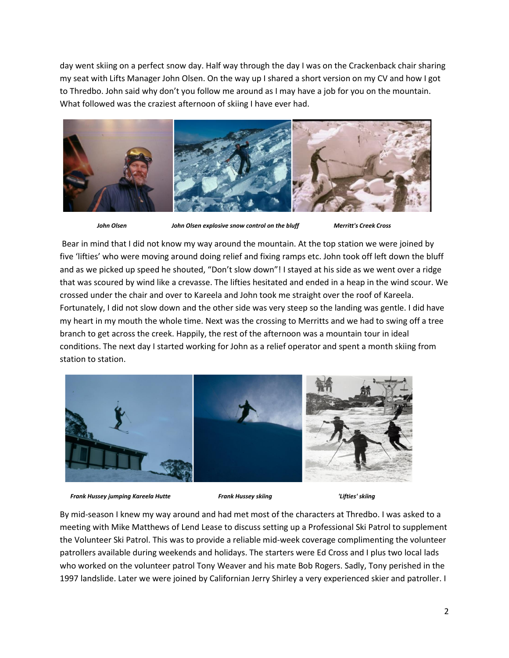day went skiing on a perfect snow day. Half way through the day I was on the Crackenback chair sharing my seat with Lifts Manager John Olsen. On the way up I shared a short version on my CV and how I got to Thredbo. John said why don't you follow me around as I may have a job for you on the mountain. What followed was the craziest afternoon of skiing I have ever had.



*John Olsen John Olsen explosive snow control on the bluff Merritt's Creek Cross*

Bear in mind that I did not know my way around the mountain. At the top station we were joined by five 'lifties' who were moving around doing relief and fixing ramps etc. John took off left down the bluff and as we picked up speed he shouted, "Don't slow down"! I stayed at his side as we went over a ridge that was scoured by wind like a crevasse. The lifties hesitated and ended in a heap in the wind scour. We crossed under the chair and over to Kareela and John took me straight over the roof of Kareela. Fortunately, I did not slow down and the other side was very steep so the landing was gentle. I did have my heart in my mouth the whole time. Next was the crossing to Merritts and we had to swing off a tree branch to get across the creek. Happily, the rest of the afternoon was a mountain tour in ideal conditions. The next day I started working for John as a relief operator and spent a month skiing from station to station.



 *Frank Hussey jumping Kareela Hutte**Frank Hussey skiing**'Lifties' skiing*

By mid-season I knew my way around and had met most of the characters at Thredbo. I was asked to a meeting with Mike Matthews of Lend Lease to discuss setting up a Professional Ski Patrol to supplement the Volunteer Ski Patrol. This was to provide a reliable mid-week coverage complimenting the volunteer patrollers available during weekends and holidays. The starters were Ed Cross and I plus two local lads who worked on the volunteer patrol Tony Weaver and his mate Bob Rogers. Sadly, Tony perished in the 1997 landslide. Later we were joined by Californian Jerry Shirley a very experienced skier and patroller. I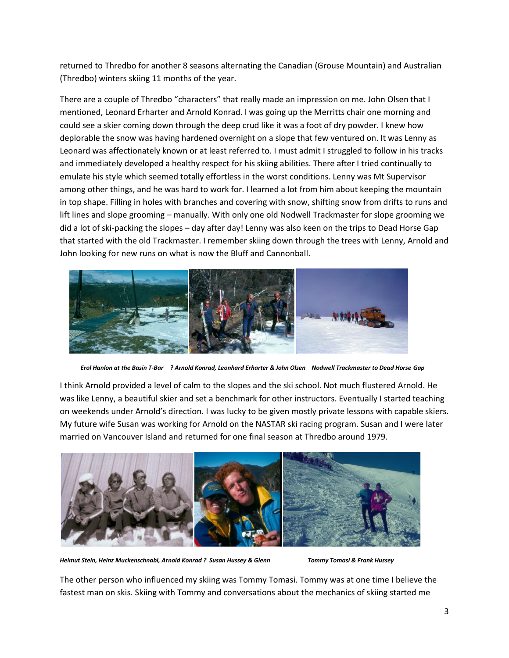returned to Thredbo for another 8 seasons alternating the Canadian (Grouse Mountain) and Australian (Thredbo) winters skiing 11 months of the year.

There are a couple of Thredbo "characters" that really made an impression on me. John Olsen that I mentioned, Leonard Erharter and Arnold Konrad. I was going up the Merritts chair one morning and could see a skier coming down through the deep crud like it was a foot of dry powder. I knew how deplorable the snow was having hardened overnight on a slope that few ventured on. It was Lenny as Leonard was affectionately known or at least referred to. I must admit I struggled to follow in his tracks and immediately developed a healthy respect for his skiing abilities. There after I tried continually to emulate his style which seemed totally effortless in the worst conditions. Lenny was Mt Supervisor among other things, and he was hard to work for. I learned a lot from him about keeping the mountain in top shape. Filling in holes with branches and covering with snow, shifting snow from drifts to runs and lift lines and slope grooming – manually. With only one old Nodwell Trackmaster for slope grooming we did a lot of ski-packing the slopes – day after day! Lenny was also keen on the trips to Dead Horse Gap that started with the old Trackmaster. I remember skiing down through the trees with Lenny, Arnold and John looking for new runs on what is now the Bluff and Cannonball.



*Erol Hanlon at the Basin T-Bar**? Arnold Konrad, Leonhard Erharter & John Olsen Nodwell Trackmaster to Dead Horse Gap*

I think Arnold provided a level of calm to the slopes and the ski school. Not much flustered Arnold. He was like Lenny, a beautiful skier and set a benchmark for other instructors. Eventually I started teaching on weekends under Arnold's direction. I was lucky to be given mostly private lessons with capable skiers. My future wife Susan was working for Arnold on the NASTAR ski racing program. Susan and I were later married on Vancouver Island and returned for one final season at Thredbo around 1979.



*Helmut Stein, Heinz Muckenschnabl, Arnold Konrad ? Susan Hussey & Glenn Tommy Tomasi & Frank Hussey*

The other person who influenced my skiing was Tommy Tomasi. Tommy was at one time I believe the fastest man on skis. Skiing with Tommy and conversations about the mechanics of skiing started me